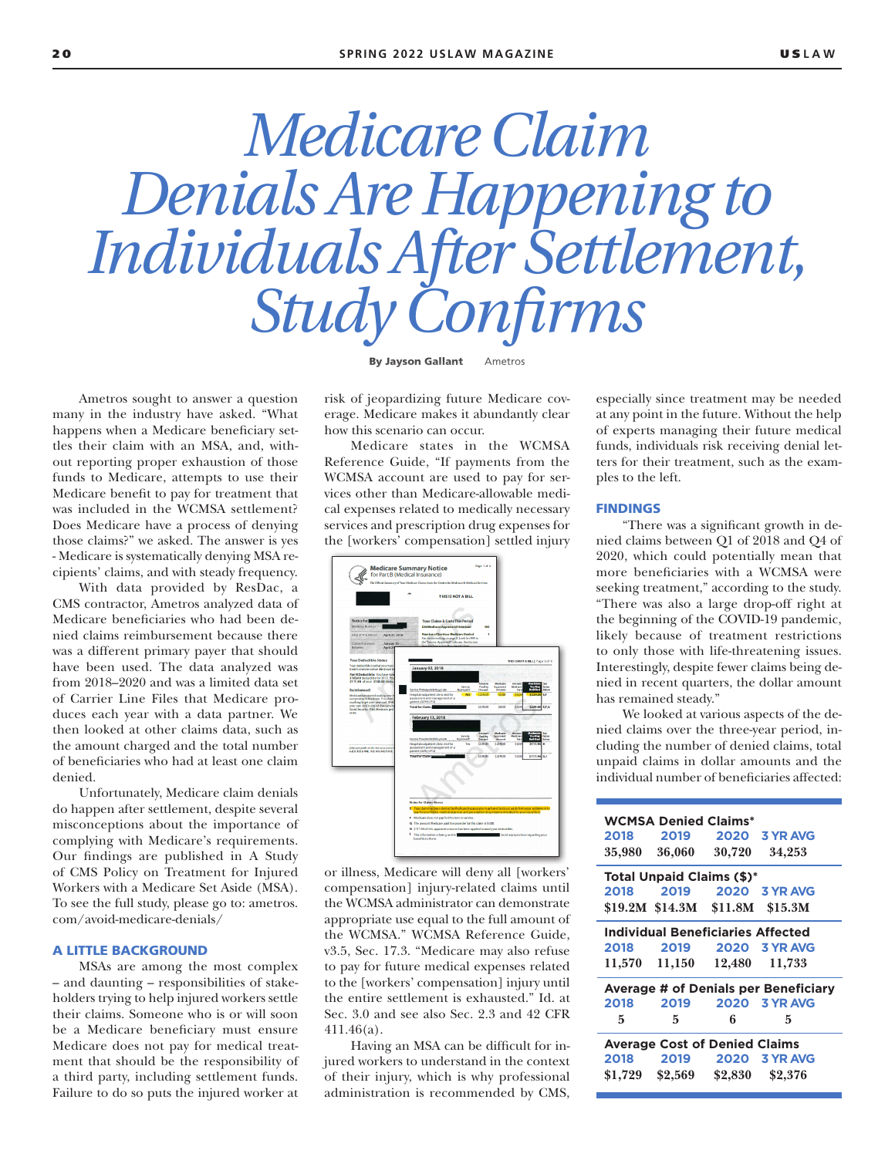# *Medicare Claim Denials Are Happening to Individuals After Settlement, Study Confirms*

By Jayson Gallant Ametros

Ametros sought to answer a question many in the industry have asked. "What happens when a Medicare beneficiary settles their claim with an MSA, and, without reporting proper exhaustion of those funds to Medicare, attempts to use their Medicare benefit to pay for treatment that was included in the WCMSA settlement? Does Medicare have a process of denying those claims?" we asked. The answer is yes - Medicare is systematically denying MSA recipients' claims, and with steady frequency.

With data provided by ResDac, a CMS contractor, Ametros analyzed data of Medicare beneficiaries who had been denied claims reimbursement because there was a different primary payer that should have been used. The data analyzed was from 2018–2020 and was a limited data set of Carrier Line Files that Medicare produces each year with a data partner. We then looked at other claims data, such as the amount charged and the total number of beneficiaries who had at least one claim denied.

Unfortunately, Medicare claim denials do happen after settlement, despite several misconceptions about the importance of complying with Medicare's requirements. Our findings are published in A Study of CMS Policy on Treatment for Injured Workers with a Medicare Set Aside (MSA). To see the full study, please go to: ametros. com/avoid-medicare-denials/

#### A LITTLE BACKGROUND

MSAs are among the most complex – and daunting – responsibilities of stakeholders trying to help injured workers settle their claims. Someone who is or will soon be a Medicare beneficiary must ensure Medicare does not pay for medical treatment that should be the responsibility of a third party, including settlement funds. Failure to do so puts the injured worker at

risk of jeopardizing future Medicare coverage. Medicare makes it abundantly clear how this scenario can occur.

Medicare states in the WCMSA Reference Guide, "If payments from the WCMSA account are used to pay for services other than Medicare-allowable medical expenses related to medically necessary services and prescription drug expenses for the [workers' compensation] settled injury



or illness, Medicare will deny all [workers' compensation] injury-related claims until the WCMSA administrator can demonstrate appropriate use equal to the full amount of the WCMSA." WCMSA Reference Guide, v3.5, Sec. 17.3. "Medicare may also refuse to pay for future medical expenses related to the [workers' compensation] injury until the entire settlement is exhausted." Id. at Sec. 3.0 and see also Sec. 2.3 and 42 CFR 411.46(a).

Having an MSA can be difficult for injured workers to understand in the context of their injury, which is why professional administration is recommended by CMS, especially since treatment may be needed at any point in the future. Without the help of experts managing their future medical funds, individuals risk receiving denial letters for their treatment, such as the examples to the left.

#### FINDINGS

"There was a significant growth in denied claims between Q1 of 2018 and Q4 of 2020, which could potentially mean that more beneficiaries with a WCMSA were seeking treatment," according to the study. "There was also a large drop-off right at the beginning of the COVID-19 pandemic, likely because of treatment restrictions to only those with life-threatening issues. Interestingly, despite fewer claims being denied in recent quarters, the dollar amount has remained steady."

We looked at various aspects of the denied claims over the three-year period, including the number of denied claims, total unpaid claims in dollar amounts and the individual number of beneficiaries affected:

| <b>WCMSA Denied Claims*</b>                 |                   |                                 |                         |  |
|---------------------------------------------|-------------------|---------------------------------|-------------------------|--|
|                                             |                   | 2018 2019 2020                  | <b>3 YR AVG</b>         |  |
| 35,980                                      | 36,060            | 30,720                          | 34,253                  |  |
| <b>Total Unpaid Claims (\$)*</b>            |                   |                                 |                         |  |
| 2018                                        |                   |                                 | 2019 2020 3 YR AVG      |  |
|                                             |                   | \$19.2M \$14.3M \$11.8M \$15.3M |                         |  |
| <b>Individual Beneficiaries Affected</b>    |                   |                                 |                         |  |
| 2018                                        |                   |                                 | 2019 2020 3 YR AVG      |  |
|                                             |                   | 11,570 11,150 12,480            | 11,733                  |  |
| <b>Average # of Denials per Beneficiary</b> |                   |                                 |                         |  |
| 2018                                        | 2019              |                                 | 2020 3 YR AVG           |  |
| 5                                           | 5                 | 6                               | 5                       |  |
| <b>Average Cost of Denied Claims</b>        |                   |                                 |                         |  |
|                                             |                   |                                 | 2018 2019 2020 3 YR AVG |  |
|                                             | $$1,729$ $$2,569$ | \$2,830                         | \$2,376                 |  |